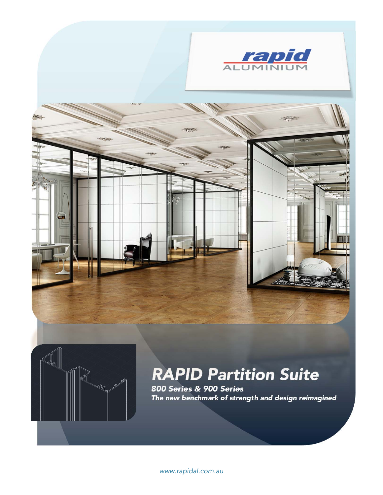





# *RAPID Partition Suite*

*800 Series & 900 Series The new benchmark of strength and design reimagined*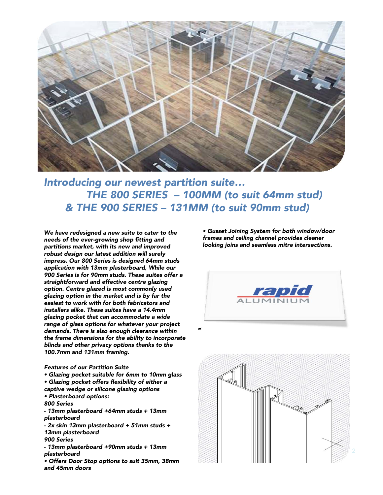

### *Introducing our newest partition suite… THE 800 SERIES – 100MM (to suit 64mm stud) & THE 900 SERIES – 131MM (to suit 90mm stud)*

*We have redesigned a new suite to cater to the needs of the ever-growing shop fitting and partitions market, with its new and improved robust design our latest addition will surely impress. Our 800 Series is designed 64mm studs application with 13mm plasterboard, While our 900 Series is for 90mm studs. These suites offer a straightforward and effective centre glazing option. Centre glazed is most commonly used glazing option in the market and is by far the easiest to work with for both fabricators and installers alike. These suites have a 14.4mm glazing pocket that can accommodate a wide range of glass options for whatever your project demands. There is also enough clearance within the frame dimensions for the ability to incorporate blinds and other privacy options thanks to the 100.7mm and 131mm framing.* 

#### *Features of our Partition Suite*

- *Glazing pocket suitable for 6mm to 10mm glass • Glazing pocket offers flexibility of either a*
- *captive wedge or silicone glazing options • Plasterboard options:*
- *800 Series*
- *- 13mm plasterboard +64mm studs + 13mm plasterboard*
- *- 2x skin 13mm plasterboard + 51mm studs + 13mm plasterboard*
- *900 Series*
- *- 13mm plasterboard +90mm studs + 13mm plasterboard*
- *Offers Door Stop options to suit 35mm, 38mm and 45mm doors*

*• Gusset Joining System for both window/door frames and ceiling channel provides cleaner looking joins and seamless mitre intersections.*



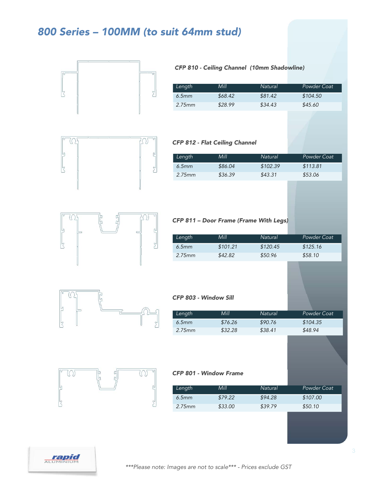### *800 Series – 100MM (to suit 64mm stud)*



#### *CFP 810 - Ceiling Channel (10mm Shadowline)*

| Length | Mill    | Natural | Powder Coat |
|--------|---------|---------|-------------|
| 6.5mm  | \$68.42 | \$81.42 | \$104.50    |
| 2.75mm | \$28.99 | \$34.43 | \$45.60     |



#### *CFP 812 - Flat Ceiling Channel*

| Length | Mill    | Natural  | Powder Coat |
|--------|---------|----------|-------------|
| 6.5mm  | \$86.04 | \$102.39 | \$113.81    |
| 2.75mm | \$36.39 | \$43.31  | \$53.06     |



#### *CFP 811 – Door Frame (Frame With Legs)*

| Lenath    | Mill     | Natural  | Powder Coat |
|-----------|----------|----------|-------------|
| $6.5$ mm  | \$101.21 | \$120.45 | \$125.16    |
| $2.75$ mm | \$42.82  | \$50.96  | \$58.10     |



#### *CFP 803 - Window Sill*

| Length | Mill    | Natural | Powder Coat |
|--------|---------|---------|-------------|
| 6.5mm  | \$76.26 | \$90.76 | \$104.35    |
| 2.75mm | \$32.28 | \$38.41 | \$48.94     |



#### *CFP 801 - Window Frame*

| Lenath | Mill    | Natural | Powder Coat |
|--------|---------|---------|-------------|
| 6.5mm  | \$79.22 | \$94.28 | \$107.00    |
| 2.75mm | \$33.00 | \$39.79 | \$50.10     |

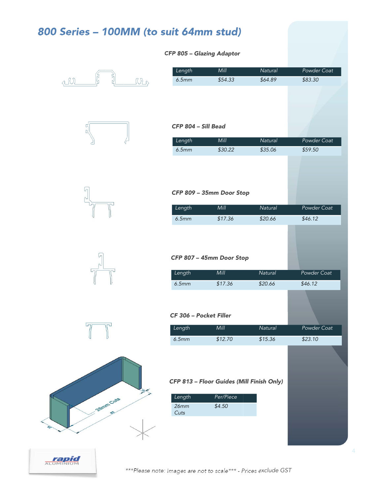| 800 Series - 100MM (to suit 64mm stud) |                           |                                                                  |         |                    |
|----------------------------------------|---------------------------|------------------------------------------------------------------|---------|--------------------|
|                                        | CFP 805 - Glazing Adaptor |                                                                  |         |                    |
|                                        | Length                    | Mill                                                             | Natural | <b>Powder Coat</b> |
| দ<br>llh<br>all)                       | 6.5mm                     | \$54.33                                                          | \$64.89 | \$83.30            |
|                                        | CFP 804 - Sill Bead       |                                                                  |         |                    |
|                                        | Length                    | Mill                                                             | Natural | <b>Powder Coat</b> |
|                                        | 6.5mm                     | \$30.22                                                          | \$35.06 | \$59.50            |
|                                        |                           |                                                                  |         |                    |
|                                        |                           | CFP 809 - 35mm Door Stop                                         |         |                    |
|                                        | Length                    | Mill                                                             | Natural | Powder Coat        |
|                                        | 6.5mm                     | \$17.36                                                          | \$20.66 | \$46.12            |
|                                        |                           | CFP 807 - 45mm Door Stop                                         |         |                    |
|                                        | Length                    | Mill                                                             | Natural | <b>Powder Coat</b> |
|                                        | 6.5mm                     | \$17.36                                                          | \$20.66 | \$46.12            |
|                                        | CF 306 - Pocket Filler    |                                                                  |         |                    |
|                                        | Length                    | Mill                                                             | Natural | Powder Coat        |
|                                        | 6.5mm                     | \$12.70                                                          | \$15.36 | \$23.10            |
| ฐ<br><b>28mm Cuts</b>                  | Length<br>26mm<br>Cuts    | CFP 813 - Floor Guides (Mill Finish Only)<br>Per/Piece<br>\$4.50 |         |                    |
|                                        |                           |                                                                  |         |                    |

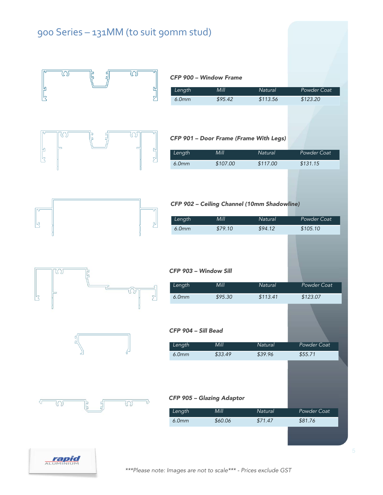### 900 Series – 131MM (to suit 90mm stud)

|   | W           |   | W           | Length                                   | CFP 900 - Window Frame<br>Mill         | Natural                                     | Powder Coat             |
|---|-------------|---|-------------|------------------------------------------|----------------------------------------|---------------------------------------------|-------------------------|
|   |             |   | 온           | 6.0mm                                    | \$95.42                                | \$113.56                                    | \$123.20                |
|   | $\circledf$ |   | W           |                                          | CFP 901 - Door Frame (Frame With Legs) |                                             |                         |
|   |             |   |             | Length                                   | Mill                                   | Natural                                     | Powder Coat             |
|   |             |   | $5^{\circ}$ | 6.0mm                                    | \$107.00                               | \$117.00                                    | \$131.15                |
|   |             |   |             |                                          |                                        | CFP 902 - Ceiling Channel (10mm Shadowline) |                         |
|   |             |   |             | Length                                   | Mill                                   | Natural                                     | <b>Powder Coat</b>      |
| 内 |             |   | പ           | 6.0mm                                    | \$79.10                                | \$94.12                                     | \$105.10                |
|   | W           |   | 2           | CFP 903 - Window Sill<br>Length<br>6.0mm | Mill<br>\$95.30                        | Natural<br>\$113.41                         | Powder Coat<br>\$123.07 |
|   |             |   |             | CFP 904 - Sill Bead                      |                                        |                                             |                         |
|   |             | २ |             | Length                                   | Mill                                   | Natural                                     | Powder Coat             |
|   |             |   |             | 6.0mm                                    | \$33.49                                | \$39.96                                     | \$55.71                 |
|   | W           |   | $\infty$    |                                          | CFP 905 - Glazing Adaptor              |                                             |                         |
|   |             |   |             | Length                                   | Mill                                   | Natural                                     | Powder Coat             |
|   |             |   |             | 6.0mm                                    | \$60.06                                | \$71.47                                     | \$81.76                 |
|   |             |   |             |                                          |                                        |                                             |                         |
|   | ALUMINIUM   |   |             |                                          |                                        |                                             |                         |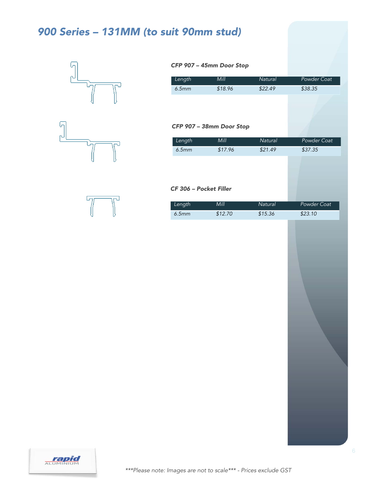## *900 Series – 131MM (to suit 90mm stud)*







#### *CFP 907 – 45mm Door Stop*

| Length | Mill    | Natural | Powder Coat |
|--------|---------|---------|-------------|
| 6.5mm  | \$18.96 | \$22.49 | \$38.35     |

#### *CFP 907 – 38mm Door Stop*

| Length                 | Mill    | Natural | Powder Coat |
|------------------------|---------|---------|-------------|
| 6.5mm                  | \$17.96 | \$21.49 | \$37.35     |
|                        |         |         |             |
|                        |         |         |             |
|                        |         |         |             |
| CF 306 - Pocket Filler |         |         |             |
|                        |         |         |             |
| Length                 | Mill    | Natural | Powder Coat |
| 6.5mm                  | \$12.70 | \$15.36 | \$23.10     |